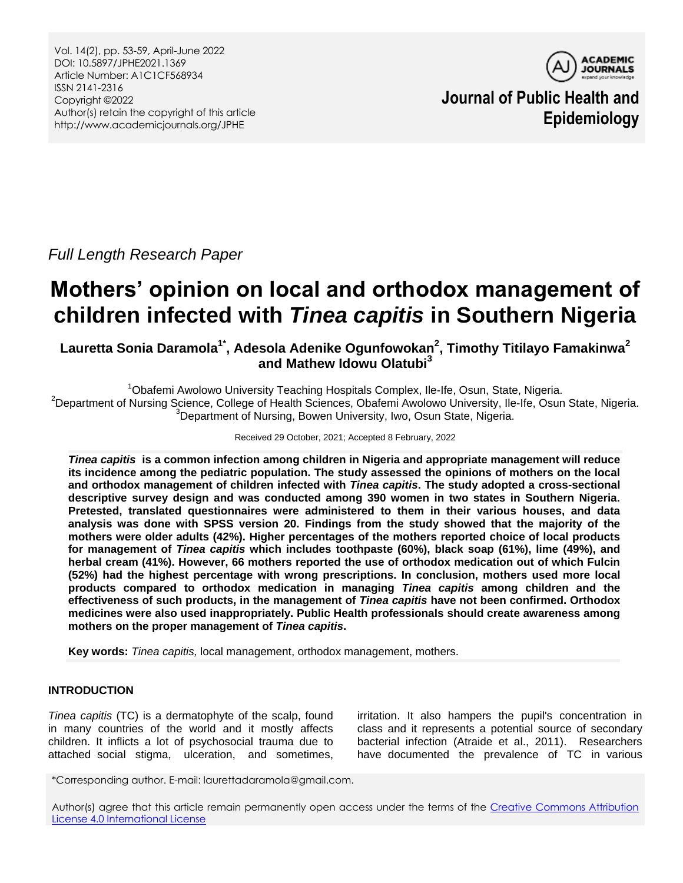Vol. 14(2), pp. 53-59, April-June 2022 DOI: 10.5897/JPHE2021.1369 Article Number: A1C1CF568934 ISSN 2141-2316 Copyright ©2022 Author(s) retain the copyright of this article http://www.academicjournals.org/JPHE



**Journal of Public Health and Epidemiology**

*Full Length Research Paper*

# **Mothers' opinion on local and orthodox management of children infected with** *Tinea capitis* **in Southern Nigeria**

**Lauretta Sonia Daramola1\* , Adesola Adenike Ogunfowokan<sup>2</sup> , Timothy Titilayo Famakinwa<sup>2</sup> and Mathew Idowu Olatubi<sup>3</sup>**

<sup>1</sup>Obafemi Awolowo University Teaching Hospitals Complex, Ile-Ife, Osun, State, Nigeria. <sup>2</sup>Department of Nursing Science, College of Health Sciences, Obafemi Awolowo University, Ile-Ife, Osun State, Nigeria. <sup>3</sup>Department of Nursing, Bowen University, Iwo, Osun State, Nigeria.

## Received 29 October, 2021; Accepted 8 February, 2022

*Tinea capitis* **is a common infection among children in Nigeria and appropriate management will reduce its incidence among the pediatric population. The study assessed the opinions of mothers on the local and orthodox management of children infected with** *Tinea capitis***. The study adopted a cross-sectional descriptive survey design and was conducted among 390 women in two states in Southern Nigeria. Pretested, translated questionnaires were administered to them in their various houses, and data analysis was done with SPSS version 20. Findings from the study showed that the majority of the mothers were older adults (42%). Higher percentages of the mothers reported choice of local products for management of** *Tinea capitis* **which includes toothpaste (60%), black soap (61%), lime (49%), and herbal cream (41%). However, 66 mothers reported the use of orthodox medication out of which Fulcin (52%) had the highest percentage with wrong prescriptions. In conclusion, mothers used more local products compared to orthodox medication in managing** *Tinea capitis* **among children and the effectiveness of such products, in the management of** *Tinea capitis* **have not been confirmed. Orthodox medicines were also used inappropriately. Public Health professionals should create awareness among mothers on the proper management of** *Tinea capitis***.**

**Key words:** *Tinea capitis,* local management, orthodox management, mothers.

# **INTRODUCTION**

*Tinea capitis* (TC) is a dermatophyte of the scalp, found in many countries of the world and it mostly affects children. It inflicts a lot of psychosocial trauma due to attached social stigma, ulceration, and sometimes,

irritation. It also hampers the pupil's concentration in class and it represents a potential source of secondary bacterial infection (Atraide et al., 2011). Researchers have documented the prevalence of TC in various

\*Corresponding author. E-mail: laurettadaramola@gmail.com.

Author(s) agree that this article remain permanently open access under the terms of the Creative Commons Attribution [License 4.0 International License](http://creativecommons.org/licenses/by/4.0/deed.en_US)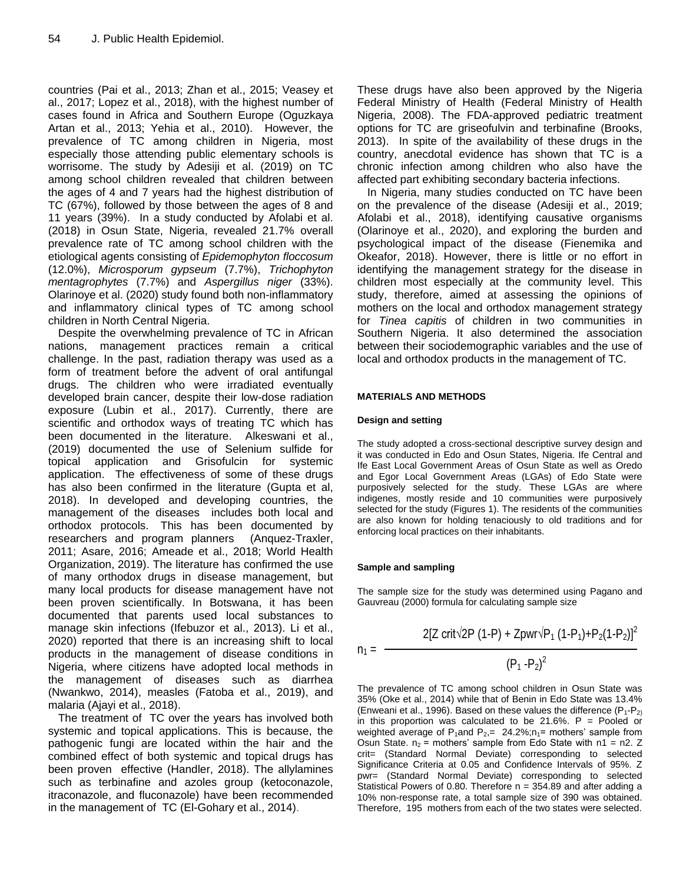countries (Pai et al., 2013; Zhan et al., 2015; Veasey et al., 2017; Lopez et al., 2018), with the highest number of cases found in Africa and Southern Europe (Oguzkaya Artan et al., 2013; Yehia et al., 2010). However, the prevalence of TC among children in Nigeria, most especially those attending public elementary schools is worrisome. The study by Adesiji et al. (2019) on TC among school children revealed that children between the ages of 4 and 7 years had the highest distribution of TC (67%), followed by those between the ages of 8 and 11 years (39%). In a study conducted by Afolabi et al. (2018) in Osun State, Nigeria, revealed 21.7% overall prevalence rate of TC among school children with the etiological agents consisting of *Epidemophyton floccosum* (12.0%), *Microsporum gypseum* (7.7%), *Trichophyton mentagrophytes* (7.7%) and *Aspergillus niger* (33%). Olarinoye et al. (2020) study found both non-inflammatory and inflammatory clinical types of TC among school children in North Central Nigeria.

Despite the overwhelming prevalence of TC in African nations, management practices remain a critical challenge. In the past, radiation therapy was used as a form of treatment before the advent of oral antifungal drugs. The children who were irradiated eventually developed brain cancer, despite their low-dose radiation exposure (Lubin et al., 2017). Currently, there are scientific and orthodox ways of treating TC which has been documented in the literature. Alkeswani et al., (2019) documented the use of Selenium sulfide for topical application and Grisofulcin for systemic application. The effectiveness of some of these drugs has also been confirmed in the literature (Gupta et al, 2018). In developed and developing countries, the management of the diseases includes both local and orthodox protocols. This has been documented by researchers and program planners (Anquez-Traxler, 2011; Asare, 2016; Ameade et al., 2018; World Health Organization, 2019). The literature has confirmed the use of many orthodox drugs in disease management, but many local products for disease management have not been proven scientifically. In Botswana, it has been documented that parents used local substances to manage skin infections (Ifebuzor et al., 2013). Li et al., 2020) reported that there is an increasing shift to local products in the management of disease conditions in Nigeria, where citizens have adopted local methods in the management of diseases such as diarrhea (Nwankwo, 2014), measles (Fatoba et al., 2019), and malaria (Ajayi et al., 2018).

The treatment of TC over the years has involved both systemic and topical applications. This is because, the pathogenic fungi are located within the hair and the combined effect of both systemic and topical drugs has been proven effective (Handler, 2018). The allylamines such as terbinafine and azoles group (ketoconazole, itraconazole, and fluconazole) have been recommended in the management of TC (El-Gohary et al., 2014).

These drugs have also been approved by the Nigeria Federal Ministry of Health (Federal Ministry of Health Nigeria, 2008). The FDA-approved pediatric treatment options for TC are griseofulvin and terbinafine (Brooks, 2013). In spite of the availability of these drugs in the country, anecdotal evidence has shown that TC is a chronic infection among children who also have the affected part exhibiting secondary bacteria infections.

In Nigeria, many studies conducted on TC have been on the prevalence of the disease (Adesiji et al., 2019; Afolabi et al., 2018), identifying causative organisms (Olarinoye et al., 2020), and exploring the burden and psychological impact of the disease (Fienemika and Okeafor, 2018). However, there is little or no effort in identifying the management strategy for the disease in children most especially at the community level. This study, therefore, aimed at assessing the opinions of mothers on the local and orthodox management strategy for *Tinea capitis* of children in two communities in Southern Nigeria. It also determined the association between their sociodemographic variables and the use of local and orthodox products in the management of TC.

### **MATERIALS AND METHODS**

#### **Design and setting**

The study adopted a cross-sectional descriptive survey design and it was conducted in Edo and Osun States, Nigeria. Ife Central and Ife East Local Government Areas of Osun State as well as Oredo and Egor Local Government Areas (LGAs) of Edo State were purposively selected for the study. These LGAs are where indigenes, mostly reside and 10 communities were purposively selected for the study (Figures 1). The residents of the communities are also known for holding tenaciously to old traditions and for enforcing local practices on their inhabitants.

#### **Sample and sampling**

The sample size for the study was determined using Pagano and Gauvreau (2000) formula for calculating sample size

$$
n_1 = \frac{2[Z \text{ crit} \sqrt{2}P (1-P) + Zpwr \sqrt{P_1 (1-P_1) + P_2(1-P_2)}]^2}{(P_1 - P_2)^2}
$$

The prevalence of TC among school children in Osun State was 35% (Oke et al., 2014) while that of Benin in Edo State was 13.4% (Enweani et al., 1996). Based on these values the difference  $(P_1-P_2)$ in this proportion was calculated to be 21.6%.  $P =$  Pooled or weighted average of P<sub>1</sub>and P<sub>2</sub>,  $=$  24.2%;  $n_1$  = mothers' sample from Osun State.  $n_2$  = mothers' sample from Edo State with  $n_1$  = n2. Z crit= (Standard Normal Deviate) corresponding to selected Significance Criteria at 0.05 and Confidence Intervals of 95%. Z pwr= (Standard Normal Deviate) corresponding to selected Statistical Powers of 0.80. Therefore  $n = 354.89$  and after adding a 10% non-response rate, a total sample size of 390 was obtained. Therefore, 195 mothers from each of the two states were selected.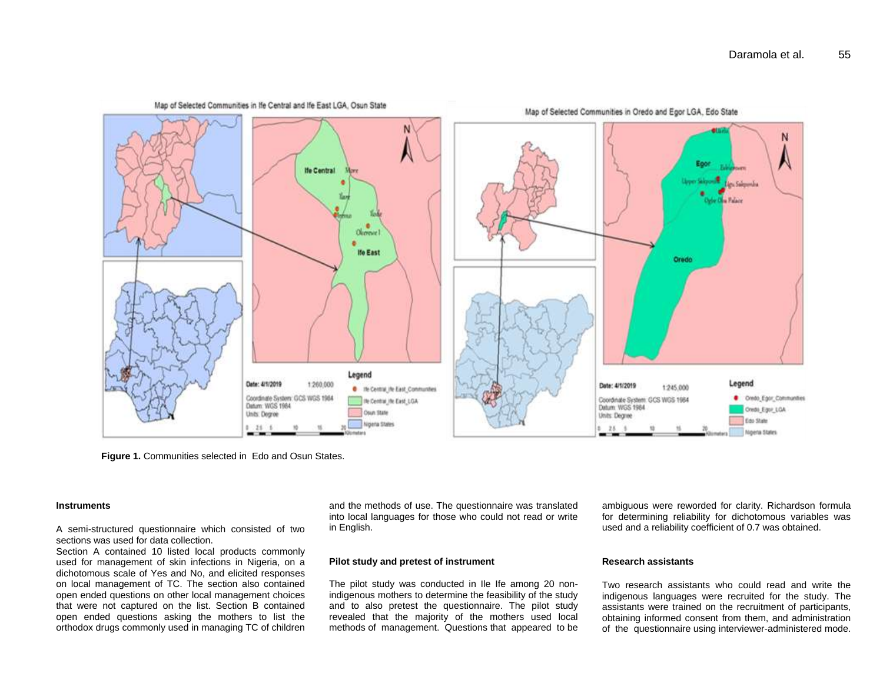

**Figure 1.** Communities selected in Edo and Osun States.

#### **Instruments**

A semi-structured questionnaire which consisted of two sections was used for data collection.

Section A contained 10 listed local products commonly used for management of skin infections in Nigeria, on a dichotomous scale of Yes and No, and elicited responses on local management of TC. The section also contained open ended questions on other local management choices that were not captured on the list. Section B contained open ended questions asking the mothers to list the orthodox drugs commonly used in managing TC of children and the methods of use. The questionnaire was translated into local languages for those who could not read or write in English.

#### **Pilot study and pretest of instrument**

The pilot study was conducted in Ile Ife among 20 nonindigenous mothers to determine the feasibility of the study and to also pretest the questionnaire. The pilot study revealed that the majority of the mothers used local methods of management. Questions that appeared to be

ambiguous were reworded for clarity. Richardson formula for determining reliability for dichotomous variables was used and a reliability coefficient of 0.7 was obtained.

#### **Research assistants**

Two research assistants who could read and write the indigenous languages were recruited for the study. The assistants were trained on the recruitment of participants, obtaining informed consent from them, and administration of the questionnaire using interviewer-administered mode.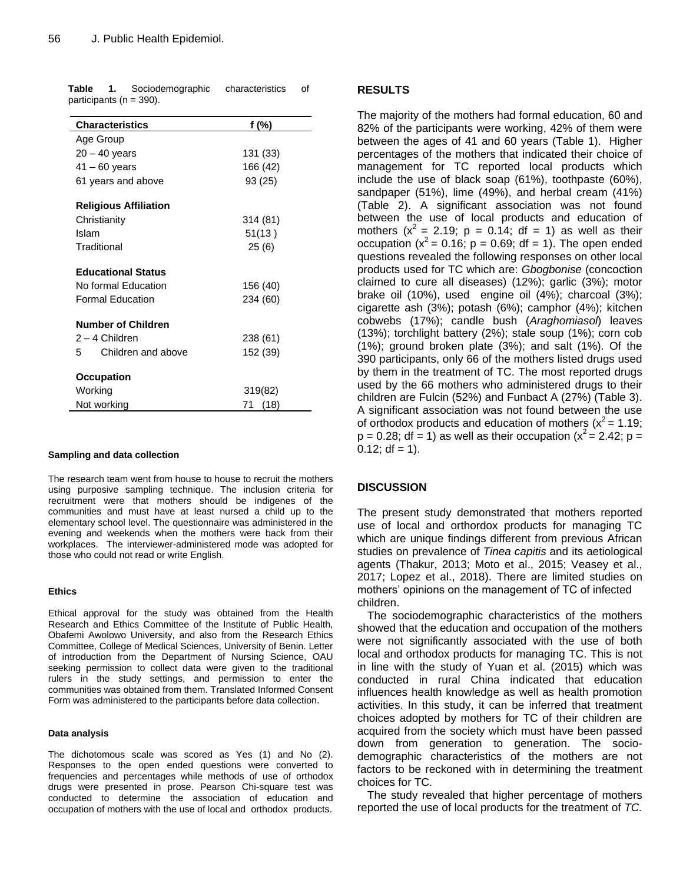| <b>Characteristics</b>       | f (%)      |
|------------------------------|------------|
| Age Group                    |            |
| $20 - 40$ years              | 131 (33)   |
| $41 - 60$ years              | 166 (42)   |
| 61 years and above           | 93 (25)    |
| <b>Religious Affiliation</b> |            |
| Christianity                 | 314 (81)   |
| Islam                        | 51(13)     |
| Traditional                  | 25(6)      |
| <b>Educational Status</b>    |            |
| No formal Education          | 156 (40)   |
| <b>Formal Education</b>      | 234 (60)   |
| <b>Number of Children</b>    |            |
| 2 – 4 Children               | 238 (61)   |
| Children and above<br>5      | 152 (39)   |
| Occupation                   |            |
| Working                      | 319(82)    |
| Not working                  | (18)<br>71 |

**Table 1.** Sociodemographic characteristics of participants (n = 390).

#### **Sampling and data collection**

The research team went from house to house to recruit the mothers using purposive sampling technique. The inclusion criteria for recruitment were that mothers should be indigenes of the communities and must have at least nursed a child up to the elementary school level. The questionnaire was administered in the evening and weekends when the mothers were back from their workplaces. The interviewer-administered mode was adopted for those who could not read or write English.

#### **Ethics**

Ethical approval for the study was obtained from the Health Research and Ethics Committee of the Institute of Public Health, Obafemi Awolowo University, and also from the Research Ethics Committee, College of Medical Sciences, University of Benin. Letter of introduction from the Department of Nursing Science, OAU seeking permission to collect data were given to the traditional rulers in the study settings, and permission to enter the communities was obtained from them. Translated Informed Consent Form was administered to the participants before data collection.

#### **Data analysis**

The dichotomous scale was scored as Yes (1) and No (2). Responses to the open ended questions were converted to frequencies and percentages while methods of use of orthodox drugs were presented in prose. Pearson Chi-square test was conducted to determine the association of education and occupation of mothers with the use of local and orthodox products.

## **RESULTS**

The majority of the mothers had formal education, 60 and 82% of the participants were working, 42% of them were between the ages of 41 and 60 years (Table 1). Higher percentages of the mothers that indicated their choice of management for TC reported local products which include the use of black soap (61%), toothpaste (60%), sandpaper (51%), lime (49%), and herbal cream (41%) (Table 2). A significant association was not found between the use of local products and education of mothers  $(x^2 = 2.19; p = 0.14; df = 1)$  as well as their occupation ( $x^2$  = 0.16; p = 0.69; df = 1). The open ended questions revealed the following responses on other local products used for TC which are: *Gbogbonise* (concoction claimed to cure all diseases) (12%); garlic (3%); motor brake oil (10%), used engine oil (4%); charcoal (3%); cigarette ash (3%); potash (6%); camphor (4%); kitchen cobwebs (17%); candle bush (*Araghomiasol*) leaves (13%); torchlight battery (2%); stale soup (1%); corn cob (1%); ground broken plate (3%); and salt (1%). Of the 390 participants, only 66 of the mothers listed drugs used by them in the treatment of TC. The most reported drugs used by the 66 mothers who administered drugs to their children are Fulcin (52%) and Funbact A (27%) (Table 3). A significant association was not found between the use of orthodox products and education of mothers ( $x^2 = 1.19$ ;  $p = 0.28$ ; df = 1) as well as their occupation ( $x^2 = 2.42$ ; p =  $0.12$ ; df = 1).

## **DISCUSSION**

The present study demonstrated that mothers reported use of local and orthordox products for managing TC which are unique findings different from previous African studies on prevalence of *Tinea capitis* and its aetiological agents (Thakur, 2013; Moto et al., 2015; Veasey et al., 2017; Lopez et al., 2018). There are limited studies on mothers' opinions on the management of TC of infected children.

The sociodemographic characteristics of the mothers showed that the education and occupation of the mothers were not significantly associated with the use of both local and orthodox products for managing TC. This is not in line with the study of Yuan et al. (2015) which was conducted in rural China indicated that education influences health knowledge as well as health promotion activities. In this study, it can be inferred that treatment choices adopted by mothers for TC of their children are acquired from the society which must have been passed down from generation to generation. The sociodemographic characteristics of the mothers are not factors to be reckoned with in determining the treatment choices for TC.

The study revealed that higher percentage of mothers reported the use of local products for the treatment of *TC.*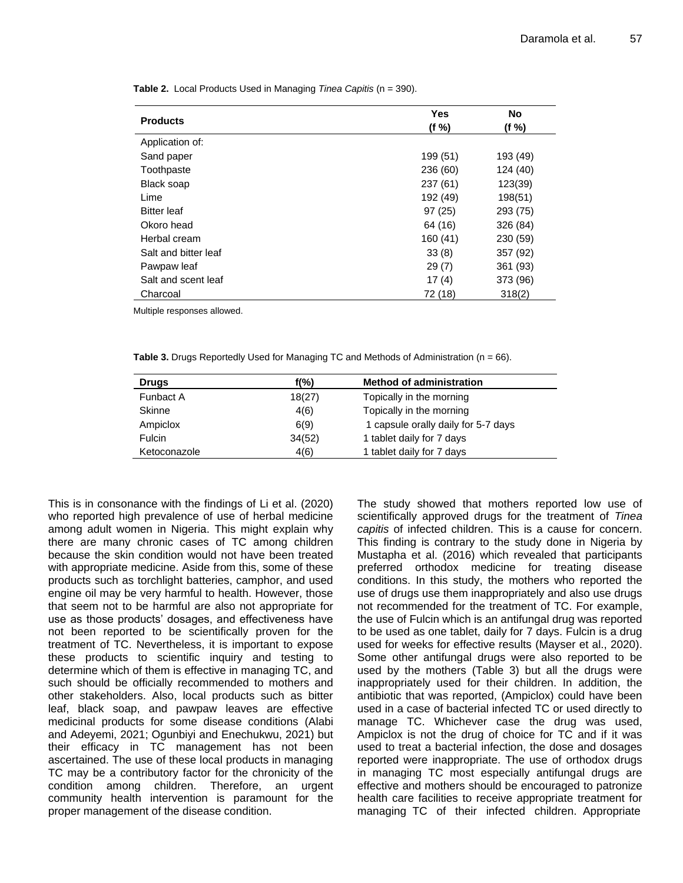| <b>Products</b>      | Yes      | No       |
|----------------------|----------|----------|
|                      | (f %)    | (f %)    |
| Application of:      |          |          |
| Sand paper           | 199 (51) | 193 (49) |
| Toothpaste           | 236 (60) | 124 (40) |
| Black soap           | 237 (61) | 123(39)  |
| Lime                 | 192 (49) | 198(51)  |
| <b>Bitter leaf</b>   | 97(25)   | 293 (75) |
| Okoro head           | 64 (16)  | 326 (84) |
| Herbal cream         | 160(41)  | 230 (59) |
| Salt and bitter leaf | 33(8)    | 357 (92) |
| Pawpaw leaf          | 29(7)    | 361 (93) |
| Salt and scent leaf  | 17(4)    | 373 (96) |
| Charcoal             | 72 (18)  | 318(2)   |

**Table 2.** Local Products Used in Managing *Tinea Capitis* (n = 390).

Multiple responses allowed.

**Table 3.** Drugs Reportedly Used for Managing TC and Methods of Administration (n = 66).

| <b>Drugs</b>  | $f(\%)$ | <b>Method of administration</b>     |
|---------------|---------|-------------------------------------|
| Funbact A     | 18(27)  | Topically in the morning            |
| <b>Skinne</b> | 4(6)    | Topically in the morning            |
| Ampiclox      | 6(9)    | 1 capsule orally daily for 5-7 days |
| Fulcin        | 34(52)  | 1 tablet daily for 7 days           |
| Ketoconazole  | 4(6)    | 1 tablet daily for 7 days           |

This is in consonance with the findings of Li et al. (2020) who reported high prevalence of use of herbal medicine among adult women in Nigeria. This might explain why there are many chronic cases of TC among children because the skin condition would not have been treated with appropriate medicine. Aside from this, some of these products such as torchlight batteries, camphor, and used engine oil may be very harmful to health. However, those that seem not to be harmful are also not appropriate for use as those products' dosages, and effectiveness have not been reported to be scientifically proven for the treatment of TC. Nevertheless, it is important to expose these products to scientific inquiry and testing to determine which of them is effective in managing TC, and such should be officially recommended to mothers and other stakeholders. Also, local products such as bitter leaf, black soap, and pawpaw leaves are effective medicinal products for some disease conditions (Alabi and Adeyemi, 2021; Ogunbiyi and Enechukwu, 2021) but their efficacy in TC management has not been ascertained. The use of these local products in managing TC may be a contributory factor for the chronicity of the condition among children. Therefore, an urgent community health intervention is paramount for the proper management of the disease condition.

The study showed that mothers reported low use of scientifically approved drugs for the treatment of *Tinea capitis* of infected children. This is a cause for concern. This finding is contrary to the study done in Nigeria by Mustapha et al. (2016) which revealed that participants preferred orthodox medicine for treating disease conditions. In this study, the mothers who reported the use of drugs use them inappropriately and also use drugs not recommended for the treatment of TC. For example, the use of Fulcin which is an antifungal drug was reported to be used as one tablet, daily for 7 days. Fulcin is a drug used for weeks for effective results (Mayser et al., 2020). Some other antifungal drugs were also reported to be used by the mothers (Table 3) but all the drugs were inappropriately used for their children. In addition, the antibiotic that was reported, (Ampiclox) could have been used in a case of bacterial infected TC or used directly to manage TC. Whichever case the drug was used, Ampiclox is not the drug of choice for TC and if it was used to treat a bacterial infection, the dose and dosages reported were inappropriate. The use of orthodox drugs in managing TC most especially antifungal drugs are effective and mothers should be encouraged to patronize health care facilities to receive appropriate treatment for managing TC of their infected children. Appropriate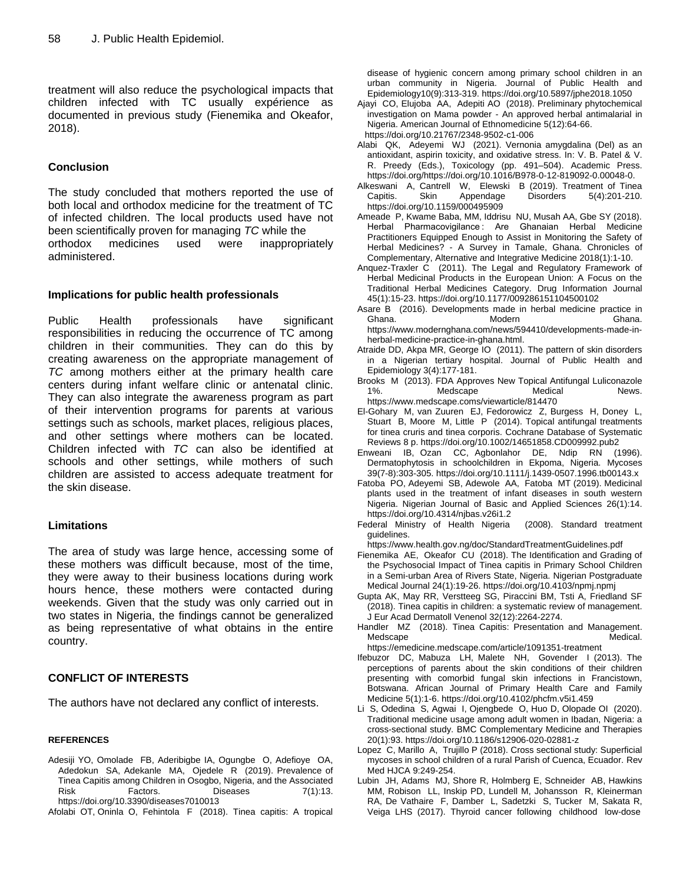treatment will also reduce the psychological impacts that children infected with TC usually expérience as documented in previous study (Fienemika and Okeafor, 2018).

# **Conclusion**

The study concluded that mothers reported the use of both local and orthodox medicine for the treatment of TC of infected children. The local products used have not been scientifically proven for managing *TC* while the orthodox medicines used were inappropriately administered.

# **Implications for public health professionals**

Public Health professionals have significant responsibilities in reducing the occurrence of TC among children in their communities. They can do this by creating awareness on the appropriate management of *TC* among mothers either at the primary health care centers during infant welfare clinic or antenatal clinic. They can also integrate the awareness program as part of their intervention programs for parents at various settings such as schools, market places, religious places, and other settings where mothers can be located. Children infected with *TC* can also be identified at schools and other settings, while mothers of such children are assisted to access adequate treatment for the skin disease.

# **Limitations**

The area of study was large hence, accessing some of these mothers was difficult because, most of the time, they were away to their business locations during work hours hence, these mothers were contacted during weekends. Given that the study was only carried out in two states in Nigeria, the findings cannot be generalized as being representative of what obtains in the entire country.

# **CONFLICT OF INTERESTS**

The authors have not declared any conflict of interests.

## **REFERENCES**

- Adesiji YO, Omolade FB, Aderibigbe IA, Ogungbe O, Adefioye OA, Adedokun SA, Adekanle MA, Ojedele R (2019). Prevalence of Tinea Capitis among Children in Osogbo, Nigeria, and the Associated Risk Factors. Diseases 7(1):13. https://doi.org/10.3390/diseases7010013
- Afolabi OT, Oninla O, Fehintola F (2018). Tinea capitis: A tropical

disease of hygienic concern among primary school children in an urban community in Nigeria. Journal of Public Health and Epidemiology10(9):313-319. https://doi.org/10.5897/jphe2018.1050

- Ajayi CO, Elujoba AA, Adepiti AO (2018). Preliminary phytochemical investigation on Mama powder - An approved herbal antimalarial in Nigeria. American Journal of Ethnomedicine 5(12):64-66. https://doi.org/10.21767/2348-9502-c1-006
- Alabi QK, Adeyemi WJ (2021). Vernonia amygdalina (Del) as an antioxidant, aspirin toxicity, and oxidative stress. In: V. B. Patel & V. R. Preedy (Eds.), Toxicology (pp. 491–504). Academic Press. https://doi.org/https://doi.org/10.1016/B978-0-12-819092-0.00048-0.
- Alkeswani A, Cantrell W, Elewski B (2019). Treatment of Tinea Capitis. Skin Appendage Disorders 5(4):201-210. https://doi.org/10.1159/000495909
- Ameade P, Kwame Baba, MM, Iddrisu NU, Musah AA, Gbe SY (2018). Herbal Pharmacovigilance : Are Ghanaian Herbal Medicine Practitioners Equipped Enough to Assist in Monitoring the Safety of Herbal Medicines? - A Survey in Tamale, Ghana. Chronicles of Complementary, Alternative and Integrative Medicine 2018(1):1-10.
- Anquez-Traxler C (2011). The Legal and Regulatory Framework of Herbal Medicinal Products in the European Union: A Focus on the Traditional Herbal Medicines Category. Drug Information Journal 45(1):15-23. https://doi.org/10.1177/009286151104500102
- Asare B (2016). Developments made in herbal medicine practice in Ghana. Modern Ghana. https://www.modernghana.com/news/594410/developments-made-inherbal-medicine-practice-in-ghana.html.
- Atraide DD, Akpa MR, George IO (2011). The pattern of skin disorders in a Nigerian tertiary hospital. Journal of Public Health and Epidemiology 3(4):177-181.
- Brooks M (2013). FDA Approves New Topical Antifungal Luliconazole Medscape Medical News. https://www.medscape.coms/viewarticle/814470
- El-Gohary M, van Zuuren EJ, Fedorowicz Z, Burgess H, Doney L, Stuart B, Moore M, Little P (2014). Topical antifungal treatments for tinea cruris and tinea corporis. Cochrane Database of Systematic Reviews 8 p. https://doi.org/10.1002/14651858.CD009992.pub2
- Enweani IB, Ozan CC, Agbonlahor DE, Ndip RN (1996). Dermatophytosis in schoolchildren in Ekpoma, Nigeria. Mycoses 39(7-8):303-305. https://doi.org/10.1111/j.1439-0507.1996.tb00143.x
- Fatoba PO, Adeyemi SB, Adewole AA, Fatoba MT (2019). Medicinal plants used in the treatment of infant diseases in south western Nigeria. Nigerian Journal of Basic and Applied Sciences 26(1):14. https://doi.org/10.4314/njbas.v26i1.2
- Federal Ministry of Health Nigeria (2008). Standard treatment guidelines.
	- https://www.health.gov.ng/doc/StandardTreatmentGuidelines.pdf
- Fienemika AE, Okeafor CU (2018). The Identification and Grading of the Psychosocial Impact of Tinea capitis in Primary School Children in a Semi-urban Area of Rivers State, Nigeria. Nigerian Postgraduate Medical Journal 24(1):19-26. https://doi.org/10.4103/npmj.npmj
- Gupta AK, May RR, Verstteeg SG, Piraccini BM, Tsti A, Friedland SF (2018). Tinea capitis in children: a systematic review of management. J Eur Acad Dermatoll Venenol 32(12):2264-2274.
- Handler MZ (2018). Tinea Capitis: Presentation and Management. Medscape **Medical.** Medical.
- https://emedicine.medscape.com/article/1091351-treatment Ifebuzor DC, Mabuza LH, Malete NH, Govender I (2013). The perceptions of parents about the skin conditions of their children presenting with comorbid fungal skin infections in Francistown, Botswana. African Journal of Primary Health Care and Family Medicine 5(1):1-6. https://doi.org/10.4102/phcfm.v5i1.459
- Li S, Odedina S, Agwai I, Ojengbede O, Huo D, Olopade OI (2020). Traditional medicine usage among adult women in Ibadan, Nigeria: a cross-sectional study. BMC Complementary Medicine and Therapies 20(1):93. https://doi.org/10.1186/s12906-020-02881-z
- Lopez C, Marillo A, Trujillo P (2018). Cross sectional study: Superficial mycoses in school children of a rural Parish of Cuenca, Ecuador. Rev Med HJCA 9:249-254.
- Lubin JH, Adams MJ, Shore R, Holmberg E, Schneider AB, Hawkins MM, Robison LL, Inskip PD, Lundell M, Johansson R, Kleinerman RA, De Vathaire F, Damber L, Sadetzki S, Tucker M, Sakata R, Veiga LHS (2017). Thyroid cancer following childhood low-dose